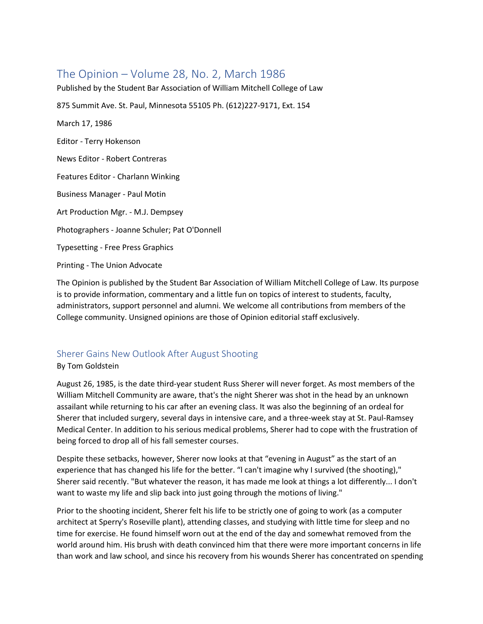# The Opinion – Volume 28, No. 2, March 1986

Published by the Student Bar Association of William Mitchell College of Law

875 Summit Ave. St. Paul, Minnesota 55105 Ph. (612)227-9171, Ext. 154

March 17, 1986

Editor - Terry Hokenson

News Editor - Robert Contreras

Features Editor - Charlann Winking

Business Manager - Paul Motin

Art Production Mgr. - M.J. Dempsey

Photographers - Joanne Schuler; Pat O'Donnell

Typesetting - Free Press Graphics

Printing - The Union Advocate

The Opinion is published by the Student Bar Association of William Mitchell College of Law. Its purpose is to provide information, commentary and a little fun on topics of interest to students, faculty, administrators, support personnel and alumni. We welcome all contributions from members of the College community. Unsigned opinions are those of Opinion editorial staff exclusively.

# Sherer Gains New Outlook After August Shooting

By Tom Goldstein

August 26, 1985, is the date third-year student Russ Sherer will never forget. As most members of the William Mitchell Community are aware, that's the night Sherer was shot in the head by an unknown assailant while returning to his car after an evening class. It was also the beginning of an ordeal for Sherer that included surgery, several days in intensive care, and a three-week stay at St. Paul-Ramsey Medical Center. In addition to his serious medical problems, Sherer had to cope with the frustration of being forced to drop all of his fall semester courses.

Despite these setbacks, however, Sherer now looks at that "evening in August" as the start of an experience that has changed his life for the better. "l can't imagine why I survived (the shooting)," Sherer said recently. "But whatever the reason, it has made me look at things a lot differently... I don't want to waste my life and slip back into just going through the motions of living."

Prior to the shooting incident, Sherer felt his life to be strictly one of going to work (as a computer architect at Sperry's Roseville plant), attending classes, and studying with little time for sleep and no time for exercise. He found himself worn out at the end of the day and somewhat removed from the world around him. His brush with death convinced him that there were more important concerns in life than work and law school, and since his recovery from his wounds Sherer has concentrated on spending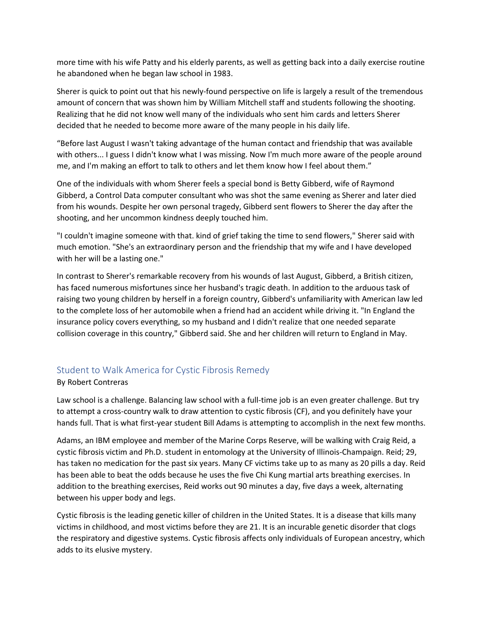more time with his wife Patty and his elderly parents, as well as getting back into a daily exercise routine he abandoned when he began law school in 1983.

Sherer is quick to point out that his newly-found perspective on life is largely a result of the tremendous amount of concern that was shown him by William Mitchell staff and students following the shooting. Realizing that he did not know well many of the individuals who sent him cards and letters Sherer decided that he needed to become more aware of the many people in his daily life.

"Before last August I wasn't taking advantage of the human contact and friendship that was available with others... I guess I didn't know what I was missing. Now I'm much more aware of the people around me, and I'm making an effort to talk to others and let them know how I feel about them."

One of the individuals with whom Sherer feels a special bond is Betty Gibberd, wife of Raymond Gibberd, a Control Data computer consultant who was shot the same evening as Sherer and later died from his wounds. Despite her own personal tragedy, Gibberd sent flowers to Sherer the day after the shooting, and her uncommon kindness deeply touched him.

"I couldn't imagine someone with that. kind of grief taking the time to send flowers," Sherer said with much emotion. "She's an extraordinary person and the friendship that my wife and I have developed with her will be a lasting one."

In contrast to Sherer's remarkable recovery from his wounds of last August, Gibberd, a British citizen, has faced numerous misfortunes since her husband's tragic death. In addition to the arduous task of raising two young children by herself in a foreign country, Gibberd's unfamiliarity with American law led to the complete loss of her automobile when a friend had an accident while driving it. "In England the insurance policy covers everything, so my husband and I didn't realize that one needed separate collision coverage in this country," Gibberd said. She and her children will return to England in May.

# Student to Walk America for Cystic Fibrosis Remedy

### By Robert Contreras

Law school is a challenge. Balancing law school with a full-time job is an even greater challenge. But try to attempt a cross-country walk to draw attention to cystic fibrosis (CF), and you definitely have your hands full. That is what first-year student Bill Adams is attempting to accomplish in the next few months.

Adams, an IBM employee and member of the Marine Corps Reserve, will be walking with Craig Reid, a cystic fibrosis victim and Ph.D. student in entomology at the University of Illinois-Champaign. Reid; 29, has taken no medication for the past six years. Many CF victims take up to as many as 20 pills a day. Reid has been able to beat the odds because he uses the five Chi Kung martial arts breathing exercises. In addition to the breathing exercises, Reid works out 90 minutes a day, five days a week, alternating between his upper body and legs.

Cystic fibrosis is the leading genetic killer of children in the United States. It is a disease that kills many victims in childhood, and most victims before they are 21. It is an incurable genetic disorder that clogs the respiratory and digestive systems. Cystic fibrosis affects only individuals of European ancestry, which adds to its elusive mystery.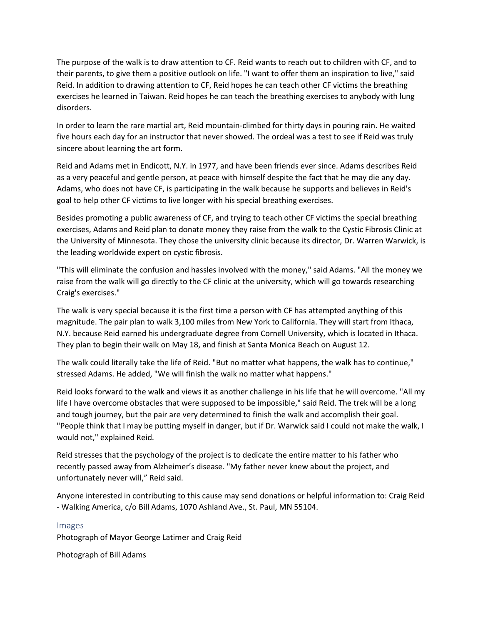The purpose of the walk is to draw attention to CF. Reid wants to reach out to children with CF, and to their parents, to give them a positive outlook on life. "I want to offer them an inspiration to live," said Reid. In addition to drawing attention to CF, Reid hopes he can teach other CF victims the breathing exercises he learned in Taiwan. Reid hopes he can teach the breathing exercises to anybody with lung disorders.

In order to learn the rare martial art, Reid mountain-climbed for thirty days in pouring rain. He waited five hours each day for an instructor that never showed. The ordeal was a test to see if Reid was truly sincere about learning the art form.

Reid and Adams met in Endicott, N.Y. in 1977, and have been friends ever since. Adams describes Reid as a very peaceful and gentle person, at peace with himself despite the fact that he may die any day. Adams, who does not have CF, is participating in the walk because he supports and believes in Reid's goal to help other CF victims to live longer with his special breathing exercises.

Besides promoting a public awareness of CF, and trying to teach other CF victims the special breathing exercises, Adams and Reid plan to donate money they raise from the walk to the Cystic Fibrosis Clinic at the University of Minnesota. They chose the university clinic because its director, Dr. Warren Warwick, is the leading worldwide expert on cystic fibrosis.

"This will eliminate the confusion and hassles involved with the money," said Adams. "All the money we raise from the walk will go directly to the CF clinic at the university, which will go towards researching Craig's exercises."

The walk is very special because it is the first time a person with CF has attempted anything of this magnitude. The pair plan to walk 3,100 miles from New York to California. They will start from Ithaca, N.Y. because Reid earned his undergraduate degree from Cornell University, which is located in Ithaca. They plan to begin their walk on May 18, and finish at Santa Monica Beach on August 12.

The walk could literally take the life of Reid. "But no matter what happens, the walk has to continue," stressed Adams. He added, "We will finish the walk no matter what happens."

Reid looks forward to the walk and views it as another challenge in his life that he will overcome. "All my life I have overcome obstacles that were supposed to be impossible," said Reid. The trek will be a long and tough journey, but the pair are very determined to finish the walk and accomplish their goal. "People think that I may be putting myself in danger, but if Dr. Warwick said I could not make the walk, I would not," explained Reid.

Reid stresses that the psychology of the project is to dedicate the entire matter to his father who recently passed away from Alzheimer's disease. "My father never knew about the project, and unfortunately never will," Reid said.

Anyone interested in contributing to this cause may send donations or helpful information to: Craig Reid - Walking America, c/o Bill Adams, 1070 Ashland Ave., St. Paul, MN 55104.

### Images

Photograph of Mayor George Latimer and Craig Reid

Photograph of Bill Adams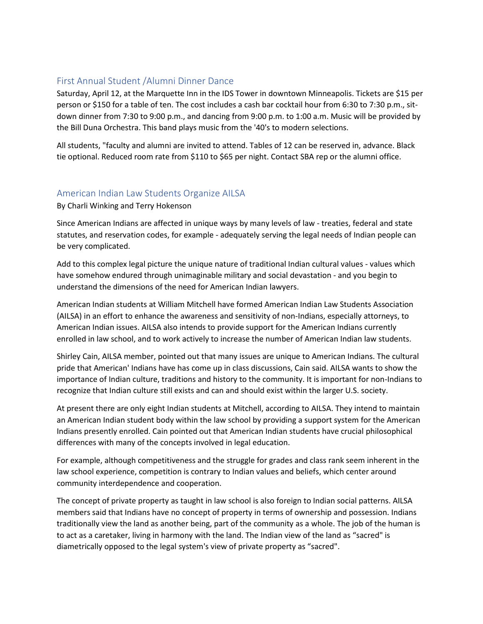## First Annual Student /Alumni Dinner Dance

Saturday, April 12, at the Marquette Inn in the IDS Tower in downtown Minneapolis. Tickets are \$15 per person or \$150 for a table of ten. The cost includes a cash bar cocktail hour from 6:30 to 7:30 p.m., sitdown dinner from 7:30 to 9:00 p.m., and dancing from 9:00 p.m. to 1:00 a.m. Music will be provided by the Bill Duna Orchestra. This band plays music from the '40's to modern selections.

All students, "faculty and alumni are invited to attend. Tables of 12 can be reserved in, advance. Black tie optional. Reduced room rate from \$110 to \$65 per night. Contact SBA rep or the alumni office.

## American Indian Law Students Organize AILSA

By Charli Winking and Terry Hokenson

Since American Indians are affected in unique ways by many levels of law - treaties, federal and state statutes, and reservation codes, for example - adequately serving the legal needs of Indian people can be very complicated.

Add to this complex legal picture the unique nature of traditional Indian cultural values - values which have somehow endured through unimaginable military and social devastation - and you begin to understand the dimensions of the need for American Indian lawyers.

American Indian students at William Mitchell have formed American Indian Law Students Association (AILSA) in an effort to enhance the awareness and sensitivity of non-Indians, especially attorneys, to American Indian issues. AILSA also intends to provide support for the American Indians currently enrolled in law school, and to work actively to increase the number of American Indian law students.

Shirley Cain, AILSA member, pointed out that many issues are unique to American Indians. The cultural pride that American' Indians have has come up in class discussions, Cain said. AILSA wants to show the importance of Indian culture, traditions and history to the community. It is important for non-Indians to recognize that Indian culture still exists and can and should exist within the larger U.S. society.

At present there are only eight Indian students at Mitchell, according to AILSA. They intend to maintain an American Indian student body within the law school by providing a support system for the American Indians presently enrolled. Cain pointed out that American Indian students have crucial philosophical differences with many of the concepts involved in legal education.

For example, although competitiveness and the struggle for grades and class rank seem inherent in the law school experience, competition is contrary to Indian values and beliefs, which center around community interdependence and cooperation.

The concept of private property as taught in law school is also foreign to Indian social patterns. AILSA members said that Indians have no concept of property in terms of ownership and possession. Indians traditionally view the land as another being, part of the community as a whole. The job of the human is to act as a caretaker, living in harmony with the land. The Indian view of the land as "sacred" is diametrically opposed to the legal system's view of private property as "sacred".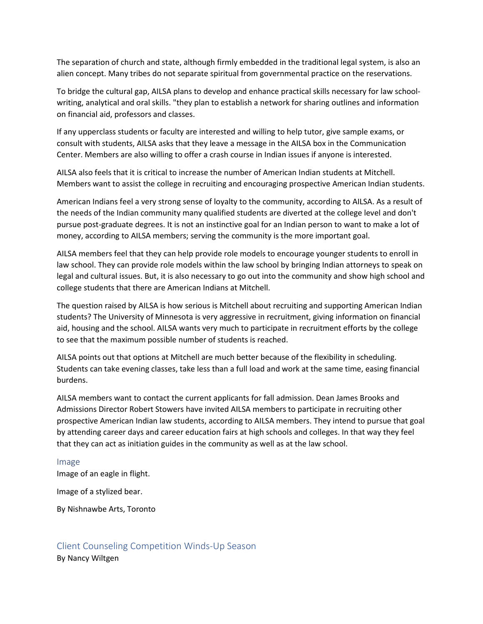The separation of church and state, although firmly embedded in the traditional legal system, is also an alien concept. Many tribes do not separate spiritual from governmental practice on the reservations.

To bridge the cultural gap, AILSA plans to develop and enhance practical skills necessary for law schoolwriting, analytical and oral skills. "they plan to establish a network for sharing outlines and information on financial aid, professors and classes.

If any upperclass students or faculty are interested and willing to help tutor, give sample exams, or consult with students, AILSA asks that they leave a message in the AILSA box in the Communication Center. Members are also willing to offer a crash course in Indian issues if anyone is interested.

AILSA also feels that it is critical to increase the number of American Indian students at Mitchell. Members want to assist the college in recruiting and encouraging prospective American Indian students.

American Indians feel a very strong sense of loyalty to the community, according to AILSA. As a result of the needs of the Indian community many qualified students are diverted at the college level and don't pursue post-graduate degrees. It is not an instinctive goal for an Indian person to want to make a lot of money, according to AILSA members; serving the community is the more important goal.

AILSA members feel that they can help provide role models to encourage younger students to enroll in law school. They can provide role models within the law school by bringing Indian attorneys to speak on legal and cultural issues. But, it is also necessary to go out into the community and show high school and college students that there are American Indians at Mitchell.

The question raised by AILSA is how serious is Mitchell about recruiting and supporting American Indian students? The University of Minnesota is very aggressive in recruitment, giving information on financial aid, housing and the school. AILSA wants very much to participate in recruitment efforts by the college to see that the maximum possible number of students is reached.

AILSA points out that options at Mitchell are much better because of the flexibility in scheduling. Students can take evening classes, take less than a full load and work at the same time, easing financial burdens.

AILSA members want to contact the current applicants for fall admission. Dean James Brooks and Admissions Director Robert Stowers have invited AILSA members to participate in recruiting other prospective American Indian law students, according to AILSA members. They intend to pursue that goal by attending career days and career education fairs at high schools and colleges. In that way they feel that they can act as initiation guides in the community as well as at the law school.

#### Image

Image of an eagle in flight.

Image of a stylized bear.

By Nishnawbe Arts, Toronto

## Client Counseling Competition Winds-Up Season By Nancy Wiltgen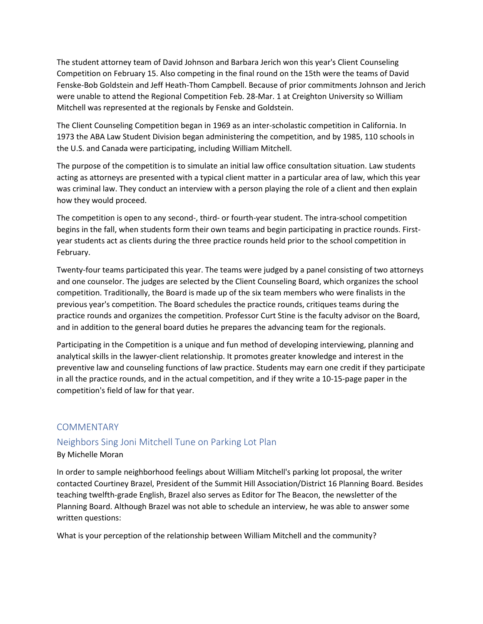The student attorney team of David Johnson and Barbara Jerich won this year's Client Counseling Competition on February 15. Also competing in the final round on the 15th were the teams of David Fenske-Bob Goldstein and Jeff Heath-Thom Campbell. Because of prior commitments Johnson and Jerich were unable to attend the Regional Competition Feb. 28-Mar. 1 at Creighton University so William Mitchell was represented at the regionals by Fenske and Goldstein.

The Client Counseling Competition began in 1969 as an inter-scholastic competition in California. In 1973 the ABA Law Student Division began administering the competition, and by 1985, 110 schools in the U.S. and Canada were participating, including William Mitchell.

The purpose of the competition is to simulate an initial law office consultation situation. Law students acting as attorneys are presented with a typical client matter in a particular area of law, which this year was criminal law. They conduct an interview with a person playing the role of a client and then explain how they would proceed.

The competition is open to any second-, third- or fourth-year student. The intra-school competition begins in the fall, when students form their own teams and begin participating in practice rounds. Firstyear students act as clients during the three practice rounds held prior to the school competition in February.

Twenty-four teams participated this year. The teams were judged by a panel consisting of two attorneys and one counselor. The judges are selected by the Client Counseling Board, which organizes the school competition. Traditionally, the Board is made up of the six team members who were finalists in the previous year's competition. The Board schedules the practice rounds, critiques teams during the practice rounds and organizes the competition. Professor Curt Stine is the faculty advisor on the Board, and in addition to the general board duties he prepares the advancing team for the regionals.

Participating in the Competition is a unique and fun method of developing interviewing, planning and analytical skills in the lawyer-client relationship. It promotes greater knowledge and interest in the preventive law and counseling functions of law practice. Students may earn one credit if they participate in all the practice rounds, and in the actual competition, and if they write a 10-15-page paper in the competition's field of law for that year.

## **COMMENTARY**

## Neighbors Sing Joni Mitchell Tune on Parking Lot Plan

### By Michelle Moran

In order to sample neighborhood feelings about William Mitchell's parking lot proposal, the writer contacted Courtiney Brazel, President of the Summit Hill Association/District 16 Planning Board. Besides teaching twelfth-grade English, Brazel also serves as Editor for The Beacon, the newsletter of the Planning Board. Although Brazel was not able to schedule an interview, he was able to answer some written questions:

What is your perception of the relationship between William Mitchell and the community?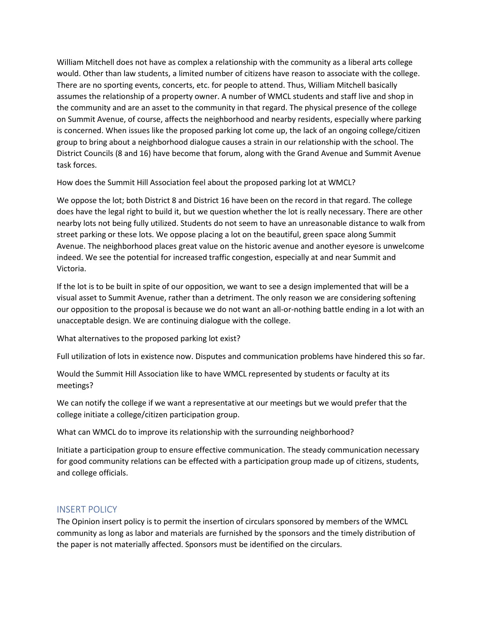William Mitchell does not have as complex a relationship with the community as a liberal arts college would. Other than law students, a limited number of citizens have reason to associate with the college. There are no sporting events, concerts, etc. for people to attend. Thus, William Mitchell basically assumes the relationship of a property owner. A number of WMCL students and staff live and shop in the community and are an asset to the community in that regard. The physical presence of the college on Summit Avenue, of course, affects the neighborhood and nearby residents, especially where parking is concerned. When issues like the proposed parking lot come up, the lack of an ongoing college/citizen group to bring about a neighborhood dialogue causes a strain in our relationship with the school. The District Councils (8 and 16) have become that forum, along with the Grand Avenue and Summit Avenue task forces.

How does the Summit Hill Association feel about the proposed parking lot at WMCL?

We oppose the lot; both District 8 and District 16 have been on the record in that regard. The college does have the legal right to build it, but we question whether the lot is really necessary. There are other nearby lots not being fully utilized. Students do not seem to have an unreasonable distance to walk from street parking or these lots. We oppose placing a lot on the beautiful, green space along Summit Avenue. The neighborhood places great value on the historic avenue and another eyesore is unwelcome indeed. We see the potential for increased traffic congestion, especially at and near Summit and Victoria.

If the lot is to be built in spite of our opposition, we want to see a design implemented that will be a visual asset to Summit Avenue, rather than a detriment. The only reason we are considering softening our opposition to the proposal is because we do not want an all-or-nothing battle ending in a lot with an unacceptable design. We are continuing dialogue with the college.

What alternatives to the proposed parking lot exist?

Full utilization of lots in existence now. Disputes and communication problems have hindered this so far.

Would the Summit Hill Association like to have WMCL represented by students or faculty at its meetings?

We can notify the college if we want a representative at our meetings but we would prefer that the college initiate a college/citizen participation group.

What can WMCL do to improve its relationship with the surrounding neighborhood?

Initiate a participation group to ensure effective communication. The steady communication necessary for good community relations can be effected with a participation group made up of citizens, students, and college officials.

## INSERT POLICY

The Opinion insert policy is to permit the insertion of circulars sponsored by members of the WMCL community as long as labor and materials are furnished by the sponsors and the timely distribution of the paper is not materially affected. Sponsors must be identified on the circulars.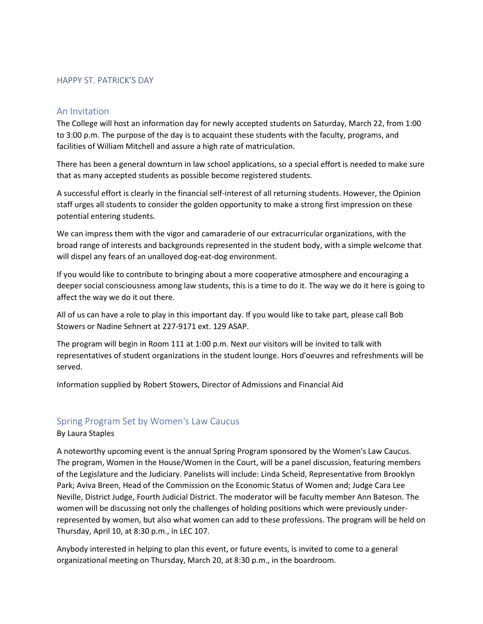### HAPPY ST. PATRICK'S DAY

### An Invitation

The College will host an information day for newly accepted students on Saturday, March 22, from 1:00 to 3:00 p.m. The purpose of the day is to acquaint these students with the faculty, programs, and facilities of William Mitchell and assure a high rate of matriculation.

There has been a general downturn in law school applications, so a special effort is needed to make sure that as many accepted students as possible become registered students.

A successful effort is clearly in the financial self-interest of all returning students. However, the Opinion staff urges all students to consider the golden opportunity to make a strong first impression on these potential entering students.

We can impress them with the vigor and camaraderie of our extracurricular organizations, with the broad range of interests and backgrounds represented in the student body, with a simple welcome that will dispel any fears of an unalloyed dog-eat-dog environment.

If you would like to contribute to bringing about a more cooperative atmosphere and encouraging a deeper social consciousness among law students, this is a time to do it. The way we do it here is going to affect the way we do it out there.

All of us can have a role to play in this important day. If you would like to take part, please call Bob Stowers or Nadine Sehnert at 227-9171 ext. 129 ASAP.

The program will begin in Room 111 at 1:00 p.m. Next our visitors will be invited to talk with representatives of student organizations in the student lounge. Hors d'oeuvres and refreshments will be served.

Information supplied by Robert Stowers, Director of Admissions and Financial Aid

### Spring Program Set by Women's Law Caucus

#### By Laura Staples

A noteworthy upcoming event is the annual Spring Program sponsored by the Women's Law Caucus. The program, Women in the House/Women in the Court, will be a panel discussion, featuring members of the Legislature and the Judiciary. Panelists will include: Linda Scheid, Representative from Brooklyn Park; Aviva Breen, Head of the Commission on the Economic Status of Women and; Judge Cara Lee Neville, District Judge, Fourth Judicial District. The moderator will be faculty member Ann Bateson. The women will be discussing not only the challenges of holding positions which were previously underrepresented by women, but also what women can add to these professions. The program will be held on Thursday, April 10, at 8:30 p.m., in LEC 107.

Anybody interested in helping to plan this event, or future events, is invited to come to a general organizational meeting on Thursday, March 20, at 8:30 p.m., in the boardroom.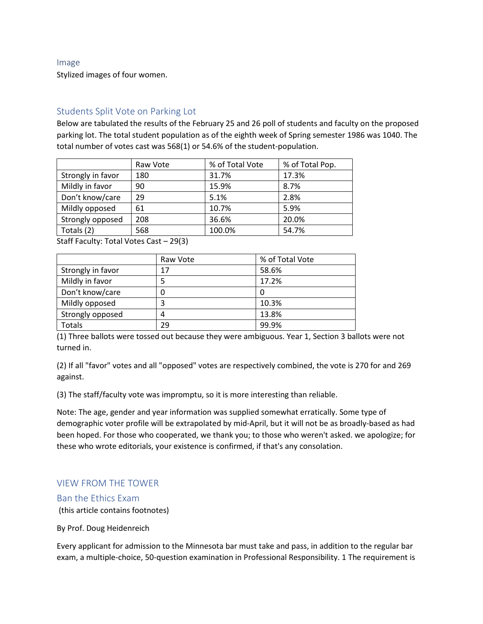#### Image

Stylized images of four women.

## Students Split Vote on Parking Lot

Below are tabulated the results of the February 25 and 26 poll of students and faculty on the proposed parking lot. The total student population as of the eighth week of Spring semester 1986 was 1040. The total number of votes cast was 568(1) or 54.6% of the student-population.

|                   | Raw Vote | % of Total Vote | % of Total Pop. |
|-------------------|----------|-----------------|-----------------|
| Strongly in favor | 180      | 31.7%           | 17.3%           |
| Mildly in favor   | 90       | 15.9%           | 8.7%            |
| Don't know/care   | 29       | 5.1%            | 2.8%            |
| Mildly opposed    | 61       | 10.7%           | 5.9%            |
| Strongly opposed  | 208      | 36.6%           | 20.0%           |
| Totals (2)        | 568      | 100.0%          | 54.7%           |

Staff Faculty: Total Votes Cast – 29(3)

|                   | Raw Vote | % of Total Vote |
|-------------------|----------|-----------------|
| Strongly in favor | 17       | 58.6%           |
| Mildly in favor   |          | 17.2%           |
| Don't know/care   | 0        |                 |
| Mildly opposed    | 3        | 10.3%           |
| Strongly opposed  | 4        | 13.8%           |
| <b>Totals</b>     | 29       | 99.9%           |

(1) Three ballots were tossed out because they were ambiguous. Year 1, Section 3 ballots were not turned in.

(2) If all "favor" votes and all "opposed" votes are respectively combined, the vote is 270 for and 269 against.

(3) The staff/faculty vote was impromptu, so it is more interesting than reliable.

Note: The age, gender and year information was supplied somewhat erratically. Some type of demographic voter profile will be extrapolated by mid-April, but it will not be as broadly-based as had been hoped. For those who cooperated, we thank you; to those who weren't asked. we apologize; for these who wrote editorials, your existence is confirmed, if that's any consolation.

## VIEW FROM THE TOWER

### Ban the Ethics Exam

(this article contains footnotes)

By Prof. Doug Heidenreich

Every applicant for admission to the Minnesota bar must take and pass, in addition to the regular bar exam, a multiple-choice, 50-question examination in Professional Responsibility. 1 The requirement is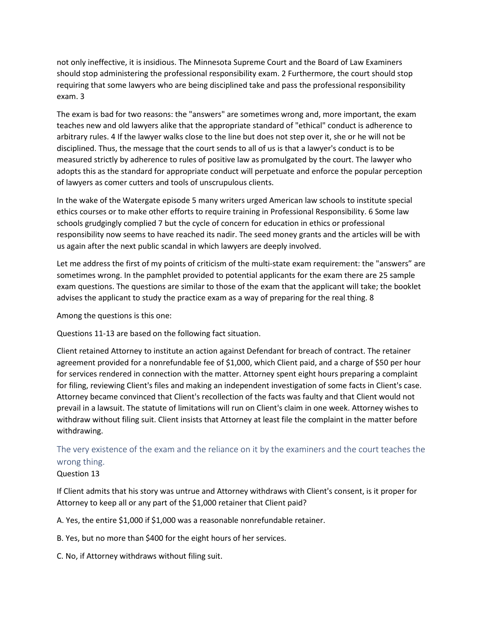not only ineffective, it is insidious. The Minnesota Supreme Court and the Board of Law Examiners should stop administering the professional responsibility exam. 2 Furthermore, the court should stop requiring that some lawyers who are being disciplined take and pass the professional responsibility exam. 3

The exam is bad for two reasons: the "answers" are sometimes wrong and, more important, the exam teaches new and old lawyers alike that the appropriate standard of "ethical" conduct is adherence to arbitrary rules. 4 If the lawyer walks close to the line but does not step over it, she or he will not be disciplined. Thus, the message that the court sends to all of us is that a lawyer's conduct is to be measured strictly by adherence to rules of positive law as promulgated by the court. The lawyer who adopts this as the standard for appropriate conduct will perpetuate and enforce the popular perception of lawyers as comer cutters and tools of unscrupulous clients.

In the wake of the Watergate episode 5 many writers urged American law schools to institute special ethics courses or to make other efforts to require training in Professional Responsibility. 6 Some law schools grudgingly complied 7 but the cycle of concern for education in ethics or professional responsibility now seems to have reached its nadir. The seed money grants and the articles will be with us again after the next public scandal in which lawyers are deeply involved.

Let me address the first of my points of criticism of the multi-state exam requirement: the "answers" are sometimes wrong. In the pamphlet provided to potential applicants for the exam there are 25 sample exam questions. The questions are similar to those of the exam that the applicant will take; the booklet advises the applicant to study the practice exam as a way of preparing for the real thing. 8

Among the questions is this one:

Questions 11-13 are based on the following fact situation.

Client retained Attorney to institute an action against Defendant for breach of contract. The retainer agreement provided for a nonrefundable fee of \$1,000, which Client paid, and a charge of \$50 per hour for services rendered in connection with the matter. Attorney spent eight hours preparing a complaint for filing, reviewing Client's files and making an independent investigation of some facts in Client's case. Attorney became convinced that Client's recollection of the facts was faulty and that Client would not prevail in a lawsuit. The statute of limitations will run on Client's claim in one week. Attorney wishes to withdraw without filing suit. Client insists that Attorney at least file the complaint in the matter before withdrawing.

The very existence of the exam and the reliance on it by the examiners and the court teaches the wrong thing.

### Question 13

If Client admits that his story was untrue and Attorney withdraws with Client's consent, is it proper for Attorney to keep all or any part of the \$1,000 retainer that Client paid?

A. Yes, the entire \$1,000 if \$1,000 was a reasonable nonrefundable retainer.

B. Yes, but no more than \$400 for the eight hours of her services.

C. No, if Attorney withdraws without filing suit.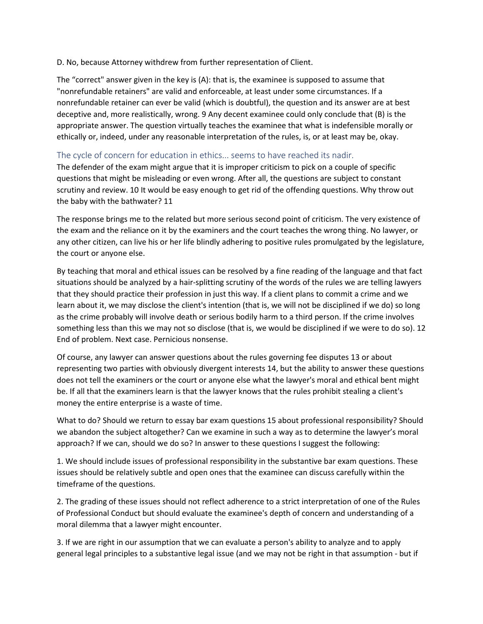D. No, because Attorney withdrew from further representation of Client.

The "correct" answer given in the key is (A): that is, the examinee is supposed to assume that "nonrefundable retainers" are valid and enforceable, at least under some circumstances. If a nonrefundable retainer can ever be valid (which is doubtful), the question and its answer are at best deceptive and, more realistically, wrong. 9 Any decent examinee could only conclude that (B) is the appropriate answer. The question virtually teaches the examinee that what is indefensible morally or ethically or, indeed, under any reasonable interpretation of the rules, is, or at least may be, okay.

## The cycle of concern for education in ethics... seems to have reached its nadir.

The defender of the exam might argue that it is improper criticism to pick on a couple of specific questions that might be misleading or even wrong. After all, the questions are subject to constant scrutiny and review. 10 It would be easy enough to get rid of the offending questions. Why throw out the baby with the bathwater? 11

The response brings me to the related but more serious second point of criticism. The very existence of the exam and the reliance on it by the examiners and the court teaches the wrong thing. No lawyer, or any other citizen, can live his or her life blindly adhering to positive rules promulgated by the legislature, the court or anyone else.

By teaching that moral and ethical issues can be resolved by a fine reading of the language and that fact situations should be analyzed by a hair-splitting scrutiny of the words of the rules we are telling lawyers that they should practice their profession in just this way. If a client plans to commit a crime and we learn about it, we may disclose the client's intention (that is, we will not be disciplined if we do) so long as the crime probably will involve death or serious bodily harm to a third person. If the crime involves something less than this we may not so disclose (that is, we would be disciplined if we were to do so). 12 End of problem. Next case. Pernicious nonsense.

Of course, any lawyer can answer questions about the rules governing fee disputes 13 or about representing two parties with obviously divergent interests 14, but the ability to answer these questions does not tell the examiners or the court or anyone else what the lawyer's moral and ethical bent might be. If all that the examiners learn is that the lawyer knows that the rules prohibit stealing a client's money the entire enterprise is a waste of time.

What to do? Should we return to essay bar exam questions 15 about professional responsibility? Should we abandon the subject altogether? Can we examine in such a way as to determine the lawyer's moral approach? If we can, should we do so? In answer to these questions I suggest the following:

1. We should include issues of professional responsibility in the substantive bar exam questions. These issues should be relatively subtle and open ones that the examinee can discuss carefully within the timeframe of the questions.

2. The grading of these issues should not reflect adherence to a strict interpretation of one of the Rules of Professional Conduct but should evaluate the examinee's depth of concern and understanding of a moral dilemma that a lawyer might encounter.

3. If we are right in our assumption that we can evaluate a person's ability to analyze and to apply general legal principles to a substantive legal issue (and we may not be right in that assumption - but if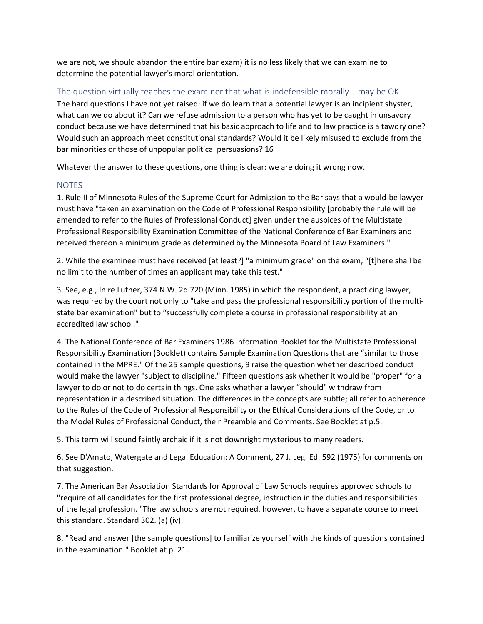we are not, we should abandon the entire bar exam) it is no less likely that we can examine to determine the potential lawyer's moral orientation.

The question virtually teaches the examiner that what is indefensible morally... may be OK. The hard questions I have not yet raised: if we do learn that a potential lawyer is an incipient shyster, what can we do about it? Can we refuse admission to a person who has yet to be caught in unsavory conduct because we have determined that his basic approach to life and to law practice is a tawdry one? Would such an approach meet constitutional standards? Would it be likely misused to exclude from the bar minorities or those of unpopular political persuasions? 16

Whatever the answer to these questions, one thing is clear: we are doing it wrong now.

## **NOTES**

1. Rule II of Minnesota Rules of the Supreme Court for Admission to the Bar says that a would-be lawyer must have "taken an examination on the Code of Professional Responsibility [probably the rule will be amended to refer to the Rules of Professional Conduct] given under the auspices of the Multistate Professional Responsibility Examination Committee of the National Conference of Bar Examiners and received thereon a minimum grade as determined by the Minnesota Board of Law Examiners."

2. While the examinee must have received [at least?] "a minimum grade" on the exam, "[t]here shall be no limit to the number of times an applicant may take this test."

3. See, e.g., In re Luther, 374 N.W. 2d 720 (Minn. 1985) in which the respondent, a practicing lawyer, was required by the court not only to "take and pass the professional responsibility portion of the multistate bar examination" but to "successfully complete a course in professional responsibility at an accredited law school."

4. The National Conference of Bar Examiners 1986 Information Booklet for the Multistate Professional Responsibility Examination (Booklet) contains Sample Examination Questions that are "similar to those contained in the MPRE." Of the 25 sample questions, 9 raise the question whether described conduct would make the lawyer "subject to discipline." Fifteen questions ask whether it would be "proper" for a lawyer to do or not to do certain things. One asks whether a lawyer "should" withdraw from representation in a described situation. The differences in the concepts are subtle; all refer to adherence to the Rules of the Code of Professional Responsibility or the Ethical Considerations of the Code, or to the Model Rules of Professional Conduct, their Preamble and Comments. See Booklet at p.5.

5. This term will sound faintly archaic if it is not downright mysterious to many readers.

6. See D'Amato, Watergate and Legal Education: A Comment, 27 J. Leg. Ed. 592 (1975) for comments on that suggestion.

7. The American Bar Association Standards for Approval of Law Schools requires approved schools to "require of all candidates for the first professional degree, instruction in the duties and responsibilities of the legal profession. "The law schools are not required, however, to have a separate course to meet this standard. Standard 302. (a) (iv).

8. "Read and answer [the sample questions] to familiarize yourself with the kinds of questions contained in the examination." Booklet at p. 21.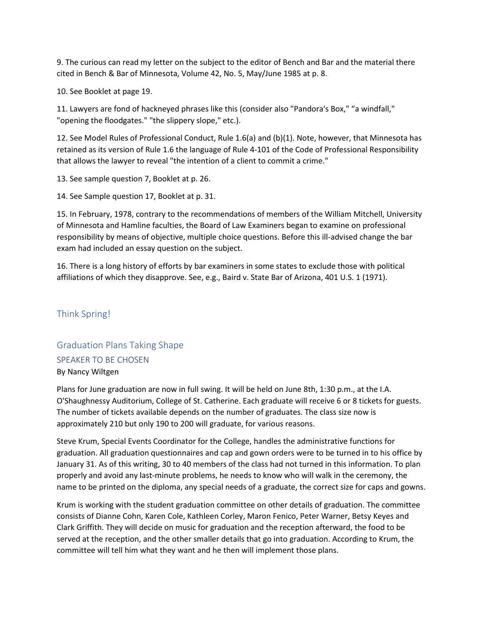9. The curious can read my letter on the subject to the editor of Bench and Bar and the material there cited in Bench & Bar of Minnesota, Volume 42, No. 5, May/June 1985 at p. 8.

10. See Booklet at page 19.

11. Lawyers are fond of hackneyed phrases like this (consider also "Pandora's Box," "a windfall," "opening the floodgates." "the slippery slope," etc.).

12. See Model Rules of Professional Conduct, Rule 1.6(a) and (b)(1). Note, however, that Minnesota has retained as its version of Rule 1.6 the language of Rule 4-101 of the Code of Professional Responsibility that allows the lawyer to reveal "the intention of a client to commit a crime."

13. See sample question 7, Booklet at p. 26.

14. See Sample question 17, Booklet at p. 31.

15. In February, 1978, contrary to the recommendations of members of the William Mitchell, University of Minnesota and Hamline faculties, the Board of Law Examiners began to examine on professional responsibility by means of objective, multiple choice questions. Before this ill-advised change the bar exam had included an essay question on the subject.

16. There is a long history of efforts by bar examiners in some states to exclude those with political affiliations of which they disapprove. See, e.g., Baird v. State Bar of Arizona, 401 U.S. 1 (1971).

# Think Spring!

# Graduation Plans Taking Shape SPEAKER TO BE CHOSEN By Nancy Wiltgen

Plans for June graduation are now in full swing. It will be held on June 8th, 1:30 p.m., at the I.A. O'Shaughnessy Auditorium, College of St. Catherine. Each graduate will receive 6 or 8 tickets for guests. The number of tickets available depends on the number of graduates. The class size now is approximately 210 but only 190 to 200 will graduate, for various reasons.

Steve Krum, Special Events Coordinator for the College, handles the administrative functions for graduation. All graduation questionnaires and cap and gown orders were to be turned in to his office by January 31. As of this writing, 30 to 40 members of the class had not turned in this information. To plan properly and avoid any last-minute problems, he needs to know who will walk in the ceremony, the name to be printed on the diploma, any special needs of a graduate, the correct size for caps and gowns.

Krum is working with the student graduation committee on other details of graduation. The committee consists of Dianne Cohn, Karen Cole, Kathleen Corley, Maron Fenico, Peter Warner, Betsy Keyes and Clark Griffith. They will decide on music for graduation and the reception afterward, the food to be served at the reception, and the other smaller details that go into graduation. According to Krum, the committee will tell him what they want and he then will implement those plans.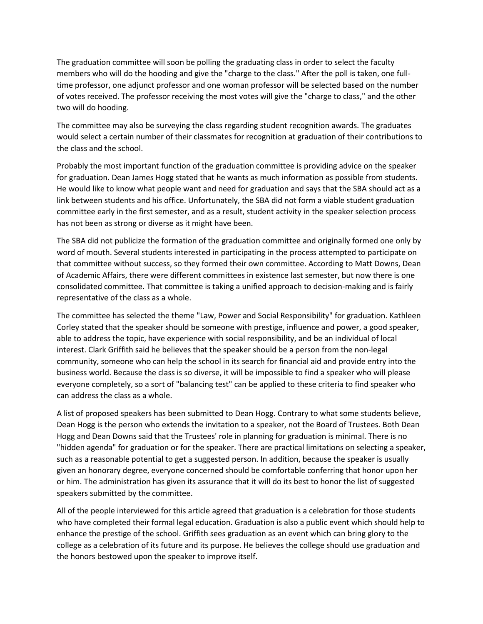The graduation committee will soon be polling the graduating class in order to select the faculty members who will do the hooding and give the "charge to the class." After the poll is taken, one fulltime professor, one adjunct professor and one woman professor will be selected based on the number of votes received. The professor receiving the most votes will give the "charge to class," and the other two will do hooding.

The committee may also be surveying the class regarding student recognition awards. The graduates would select a certain number of their classmates for recognition at graduation of their contributions to the class and the school.

Probably the most important function of the graduation committee is providing advice on the speaker for graduation. Dean James Hogg stated that he wants as much information as possible from students. He would like to know what people want and need for graduation and says that the SBA should act as a link between students and his office. Unfortunately, the SBA did not form a viable student graduation committee early in the first semester, and as a result, student activity in the speaker selection process has not been as strong or diverse as it might have been.

The SBA did not publicize the formation of the graduation committee and originally formed one only by word of mouth. Several students interested in participating in the process attempted to participate on that committee without success, so they formed their own committee. According to Matt Downs, Dean of Academic Affairs, there were different committees in existence last semester, but now there is one consolidated committee. That committee is taking a unified approach to decision-making and is fairly representative of the class as a whole.

The committee has selected the theme "Law, Power and Social Responsibility" for graduation. Kathleen Corley stated that the speaker should be someone with prestige, influence and power, a good speaker, able to address the topic, have experience with social responsibility, and be an individual of local interest. Clark Griffith said he believes that the speaker should be a person from the non-legal community, someone who can help the school in its search for financial aid and provide entry into the business world. Because the class is so diverse, it will be impossible to find a speaker who will please everyone completely, so a sort of "balancing test" can be applied to these criteria to find speaker who can address the class as a whole.

A list of proposed speakers has been submitted to Dean Hogg. Contrary to what some students believe, Dean Hogg is the person who extends the invitation to a speaker, not the Board of Trustees. Both Dean Hogg and Dean Downs said that the Trustees' role in planning for graduation is minimal. There is no "hidden agenda" for graduation or for the speaker. There are practical limitations on selecting a speaker, such as a reasonable potential to get a suggested person. In addition, because the speaker is usually given an honorary degree, everyone concerned should be comfortable conferring that honor upon her or him. The administration has given its assurance that it will do its best to honor the list of suggested speakers submitted by the committee.

All of the people interviewed for this article agreed that graduation is a celebration for those students who have completed their formal legal education. Graduation is also a public event which should help to enhance the prestige of the school. Griffith sees graduation as an event which can bring glory to the college as a celebration of its future and its purpose. He believes the college should use graduation and the honors bestowed upon the speaker to improve itself.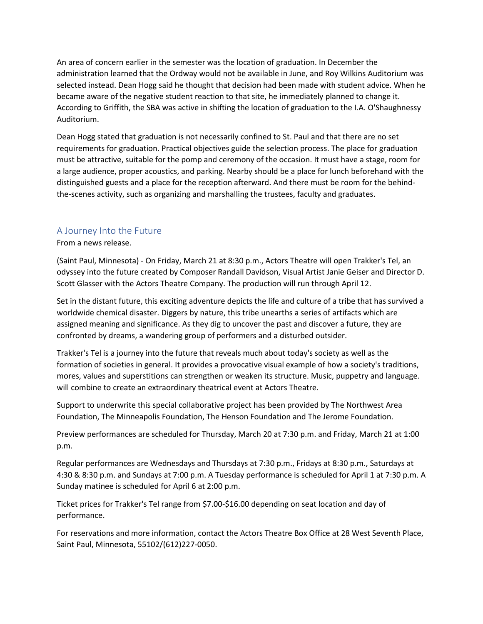An area of concern earlier in the semester was the location of graduation. In December the administration learned that the Ordway would not be available in June, and Roy Wilkins Auditorium was selected instead. Dean Hogg said he thought that decision had been made with student advice. When he became aware of the negative student reaction to that site, he immediately planned to change it. According to Griffith, the SBA was active in shifting the location of graduation to the I.A. O'Shaughnessy Auditorium.

Dean Hogg stated that graduation is not necessarily confined to St. Paul and that there are no set requirements for graduation. Practical objectives guide the selection process. The place for graduation must be attractive, suitable for the pomp and ceremony of the occasion. It must have a stage, room for a large audience, proper acoustics, and parking. Nearby should be a place for lunch beforehand with the distinguished guests and a place for the reception afterward. And there must be room for the behindthe-scenes activity, such as organizing and marshalling the trustees, faculty and graduates.

## A Journey Into the Future

## From a news release.

(Saint Paul, Minnesota) - On Friday, March 21 at 8:30 p.m., Actors Theatre will open Trakker's Tel, an odyssey into the future created by Composer Randall Davidson, Visual Artist Janie Geiser and Director D. Scott Glasser with the Actors Theatre Company. The production will run through April 12.

Set in the distant future, this exciting adventure depicts the life and culture of a tribe that has survived a worldwide chemical disaster. Diggers by nature, this tribe unearths a series of artifacts which are assigned meaning and significance. As they dig to uncover the past and discover a future, they are confronted by dreams, a wandering group of performers and a disturbed outsider.

Trakker's Tel is a journey into the future that reveals much about today's society as well as the formation of societies in general. It provides a provocative visual example of how a society's traditions, mores, values and superstitions can strengthen or weaken its structure. Music, puppetry and language. will combine to create an extraordinary theatrical event at Actors Theatre.

Support to underwrite this special collaborative project has been provided by The Northwest Area Foundation, The Minneapolis Foundation, The Henson Foundation and The Jerome Foundation.

Preview performances are scheduled for Thursday, March 20 at 7:30 p.m. and Friday, March 21 at 1:00 p.m.

Regular performances are Wednesdays and Thursdays at 7:30 p.m., Fridays at 8:30 p.m., Saturdays at 4:30 & 8:30 p.m. and Sundays at 7:00 p.m. A Tuesday performance is scheduled for April 1 at 7:30 p.m. A Sunday matinee is scheduled for April 6 at 2:00 p.m.

Ticket prices for Trakker's Tel range from \$7.00-\$16.00 depending on seat location and day of performance.

For reservations and more information, contact the Actors Theatre Box Office at 28 West Seventh Place, Saint Paul, Minnesota, 55102/(612)227-0050.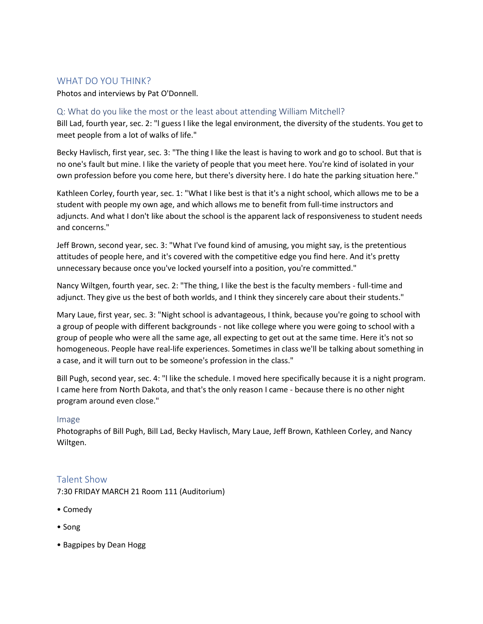# WHAT DO YOU THINK?

Photos and interviews by Pat O'Donnell.

## Q: What do you like the most or the least about attending William Mitchell?

Bill Lad, fourth year, sec. 2: "l guess I like the legal environment, the diversity of the students. You get to meet people from a lot of walks of life."

Becky Havlisch, first year, sec. 3: "The thing I like the least is having to work and go to school. But that is no one's fault but mine. I like the variety of people that you meet here. You're kind of isolated in your own profession before you come here, but there's diversity here. I do hate the parking situation here."

Kathleen Corley, fourth year, sec. 1: "What I like best is that it's a night school, which allows me to be a student with people my own age, and which allows me to benefit from full-time instructors and adjuncts. And what I don't like about the school is the apparent lack of responsiveness to student needs and concerns."

Jeff Brown, second year, sec. 3: "What I've found kind of amusing, you might say, is the pretentious attitudes of people here, and it's covered with the competitive edge you find here. And it's pretty unnecessary because once you've locked yourself into a position, you're committed."

Nancy Wiltgen, fourth year, sec. 2: "The thing, I like the best is the faculty members - full-time and adjunct. They give us the best of both worlds, and I think they sincerely care about their students."

Mary Laue, first year, sec. 3: "Night school is advantageous, I think, because you're going to school with a group of people with different backgrounds - not like college where you were going to school with a group of people who were all the same age, all expecting to get out at the same time. Here it's not so homogeneous. People have real-life experiences. Sometimes in class we'll be talking about something in a case, and it will turn out to be someone's profession in the class."

Bill Pugh, second year, sec. 4: "l like the schedule. I moved here specifically because it is a night program. I came here from North Dakota, and that's the only reason I came - because there is no other night program around even close."

## Image

Photographs of Bill Pugh, Bill Lad, Becky Havlisch, Mary Laue, Jeff Brown, Kathleen Corley, and Nancy Wiltgen.

## Talent Show

7:30 FRIDAY MARCH 21 Room 111 (Auditorium)

- Comedy
- Song
- Bagpipes by Dean Hogg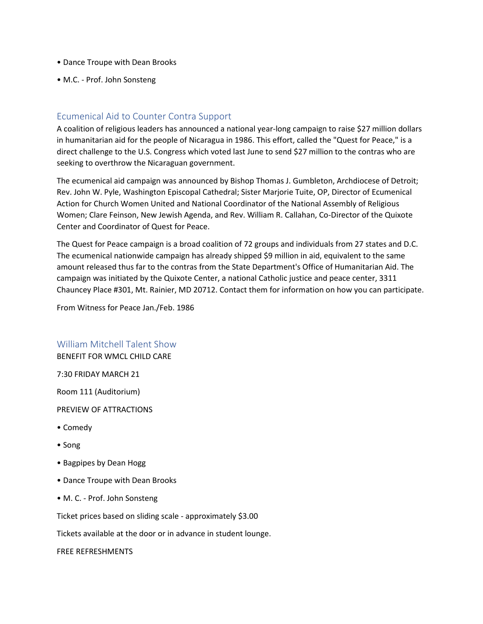- Dance Troupe with Dean Brooks
- M.C. Prof. John Sonsteng

## Ecumenical Aid to Counter Contra Support

A coalition of religious leaders has announced a national year-long campaign to raise \$27 million dollars in humanitarian aid for the people of Nicaragua in 1986. This effort, called the "Quest for Peace," is a direct challenge to the U.S. Congress which voted last June to send \$27 million to the contras who are seeking to overthrow the Nicaraguan government.

The ecumenical aid campaign was announced by Bishop Thomas J. Gumbleton, Archdiocese of Detroit; Rev. John W. Pyle, Washington Episcopal Cathedral; Sister Marjorie Tuite, OP, Director of Ecumenical Action for Church Women United and National Coordinator of the National Assembly of Religious Women; Clare Feinson, New Jewish Agenda, and Rev. William R. Callahan, Co-Director of the Quixote Center and Coordinator of Quest for Peace.

The Quest for Peace campaign is a broad coalition of 72 groups and individuals from 27 states and D.C. The ecumenical nationwide campaign has already shipped \$9 million in aid, equivalent to the same amount released thus far to the contras from the State Department's Office of Humanitarian Aid. The campaign was initiated by the Quixote Center, a national Catholic justice and peace center, 3311 Chauncey Place #301, Mt. Rainier, MD 20712. Contact them for information on how you can participate.

From Witness for Peace Jan./Feb. 1986

William Mitchell Talent Show

BENEFIT FOR WMCL CHILD CARE

7:30 FRIDAY MARCH 21

Room 111 (Auditorium)

PREVIEW OF ATTRACTIONS

- Comedy
- Song
- Bagpipes by Dean Hogg
- Dance Troupe with Dean Brooks
- M. C. Prof. John Sonsteng

Ticket prices based on sliding scale - approximately \$3.00

Tickets available at the door or in advance in student lounge.

FREE REFRESHMENTS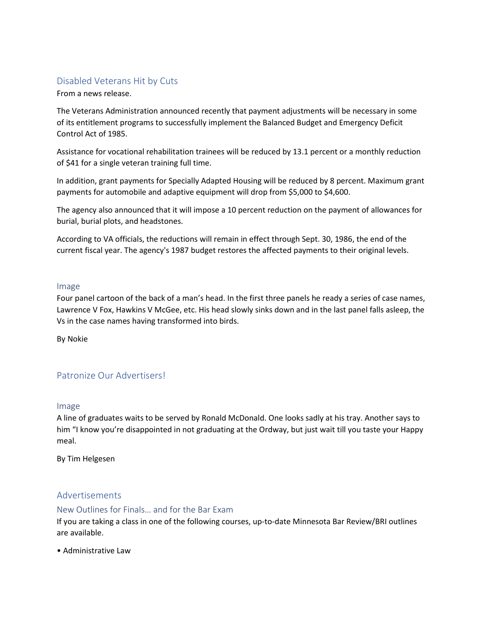# Disabled Veterans Hit by Cuts

From a news release.

The Veterans Administration announced recently that payment adjustments will be necessary in some of its entitlement programs to successfully implement the Balanced Budget and Emergency Deficit Control Act of 1985.

Assistance for vocational rehabilitation trainees will be reduced by 13.1 percent or a monthly reduction of \$41 for a single veteran training full time.

In addition, grant payments for Specially Adapted Housing will be reduced by 8 percent. Maximum grant payments for automobile and adaptive equipment will drop from \$5,000 to \$4,600.

The agency also announced that it will impose a 10 percent reduction on the payment of allowances for burial, burial plots, and headstones.

According to VA officials, the reductions will remain in effect through Sept. 30, 1986, the end of the current fiscal year. The agency's 1987 budget restores the affected payments to their original levels.

### Image

Four panel cartoon of the back of a man's head. In the first three panels he ready a series of case names, Lawrence V Fox, Hawkins V McGee, etc. His head slowly sinks down and in the last panel falls asleep, the Vs in the case names having transformed into birds.

By Nokie

# Patronize Our Advertisers!

### Image

A line of graduates waits to be served by Ronald McDonald. One looks sadly at his tray. Another says to him "I know you're disappointed in not graduating at the Ordway, but just wait till you taste your Happy meal.

By Tim Helgesen

## Advertisements

### New Outlines for Finals… and for the Bar Exam

If you are taking a class in one of the following courses, up-to-date Minnesota Bar Review/BRI outlines are available.

• Administrative Law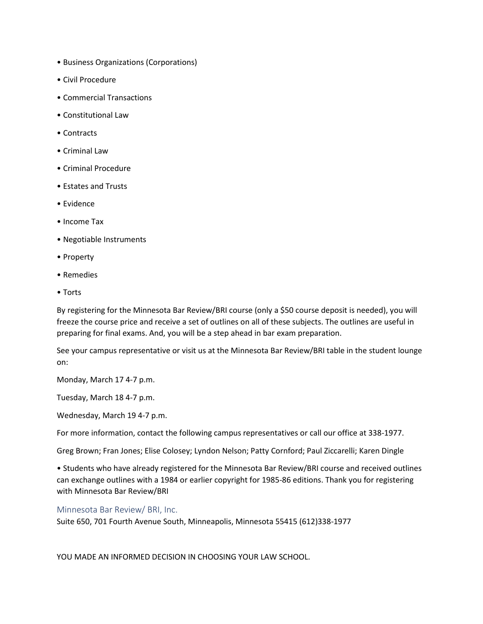- Business Organizations (Corporations)
- Civil Procedure
- Commercial Transactions
- Constitutional Law
- Contracts
- Criminal Law
- Criminal Procedure
- Estates and Trusts
- Evidence
- Income Tax
- Negotiable Instruments
- Property
- Remedies
- Torts

By registering for the Minnesota Bar Review/BRI course (only a \$50 course deposit is needed), you will freeze the course price and receive a set of outlines on all of these subjects. The outlines are useful in preparing for final exams. And, you will be a step ahead in bar exam preparation.

See your campus representative or visit us at the Minnesota Bar Review/BRI table in the student lounge on:

Monday, March 17 4-7 p.m.

Tuesday, March 18 4-7 p.m.

Wednesday, March 19 4-7 p.m.

For more information, contact the following campus representatives or call our office at 338-1977.

Greg Brown; Fran Jones; Elise Colosey; Lyndon Nelson; Patty Cornford; Paul Ziccarelli; Karen Dingle

• Students who have already registered for the Minnesota Bar Review/BRI course and received outlines can exchange outlines with a 1984 or earlier copyright for 1985-86 editions. Thank you for registering with Minnesota Bar Review/BRI

Minnesota Bar Review/ BRI, Inc.

Suite 650, 701 Fourth Avenue South, Minneapolis, Minnesota 55415 (612)338-1977

YOU MADE AN INFORMED DECISION IN CHOOSING YOUR LAW SCHOOL.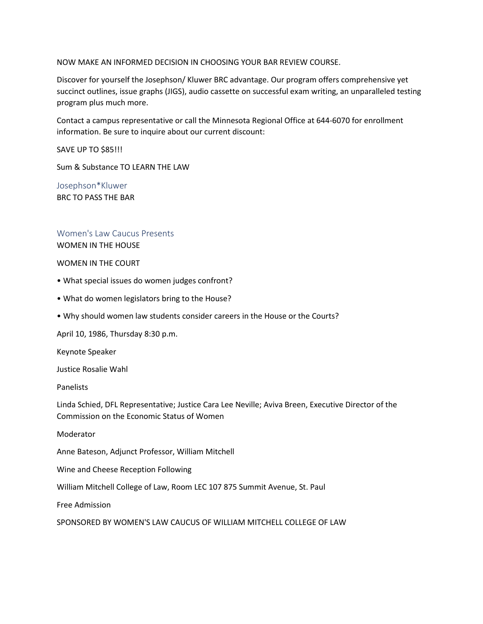### NOW MAKE AN INFORMED DECISION IN CHOOSING YOUR BAR REVIEW COURSE.

Discover for yourself the Josephson/ Kluwer BRC advantage. Our program offers comprehensive yet succinct outlines, issue graphs (JIGS), audio cassette on successful exam writing, an unparalleled testing program plus much more.

Contact a campus representative or call the Minnesota Regional Office at 644-6070 for enrollment information. Be sure to inquire about our current discount:

SAVE UP TO \$85!!!

Sum & Substance TO LEARN THE LAW

Josephson\*Kluwer BRC TO PASS THE BAR

## Women's Law Caucus Presents

WOMEN IN THE HOUSE

#### WOMEN IN THE COURT

- What special issues do women judges confront?
- What do women legislators bring to the House?
- Why should women law students consider careers in the House or the Courts?

April 10, 1986, Thursday 8:30 p.m.

Keynote Speaker

Justice Rosalie Wahl

Panelists

Linda Schied, DFL Representative; Justice Cara Lee Neville; Aviva Breen, Executive Director of the Commission on the Economic Status of Women

Moderator

Anne Bateson, Adjunct Professor, William Mitchell

Wine and Cheese Reception Following

William Mitchell College of Law, Room LEC 107 875 Summit Avenue, St. Paul

Free Admission

SPONSORED BY WOMEN'S LAW CAUCUS OF WILLIAM MITCHELL COLLEGE OF LAW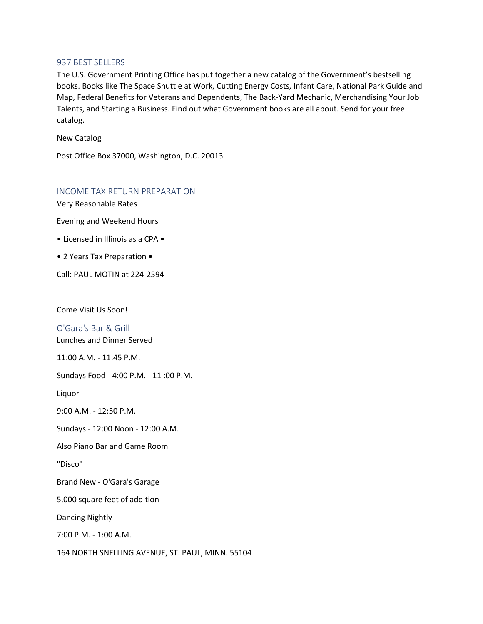#### 937 BEST SELLERS

The U.S. Government Printing Office has put together a new catalog of the Government's bestselling books. Books like The Space Shuttle at Work, Cutting Energy Costs, Infant Care, National Park Guide and Map, Federal Benefits for Veterans and Dependents, The Back-Yard Mechanic, Merchandising Your Job Talents, and Starting a Business. Find out what Government books are all about. Send for your free catalog.

New Catalog

Post Office Box 37000, Washington, D.C. 20013

### INCOME TAX RETURN PREPARATION

Very Reasonable Rates

Evening and Weekend Hours

- Licensed in Illinois as a CPA •
- 2 Years Tax Preparation •

Call: PAUL MOTIN at 224-2594

Come Visit Us Soon!

O'Gara's Bar & Grill

Lunches and Dinner Served

11:00 A.M. - 11:45 P.M.

Sundays Food - 4:00 P.M. - 11 :00 P.M.

Liquor

9:00 A.M. - 12:50 P.M.

Sundays - 12:00 Noon - 12:00 A.M.

Also Piano Bar and Game Room

"Disco"

Brand New - O'Gara's Garage

5,000 square feet of addition

Dancing Nightly

7:00 P.M. - 1:00 A.M.

164 NORTH SNELLING AVENUE, ST. PAUL, MINN. 55104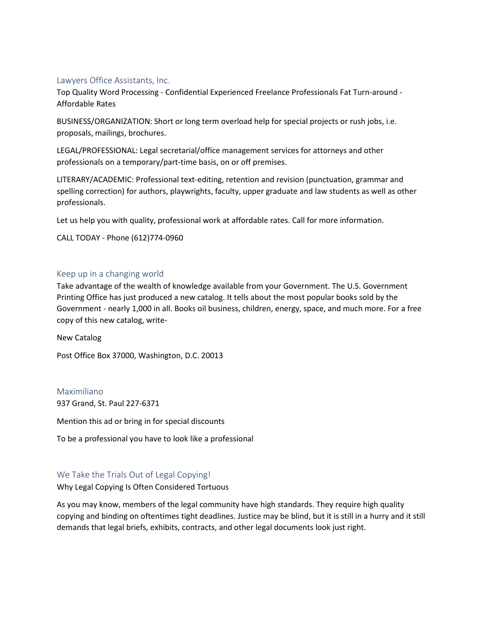## Lawyers Office Assistants, Inc.

Top Quality Word Processing - Confidential Experienced Freelance Professionals Fat Turn-around - Affordable Rates

BUSINESS/ORGANIZATION: Short or long term overload help for special projects or rush jobs, i.e. proposals, mailings, brochures.

LEGAL/PROFESSIONAL: Legal secretarial/office management services for attorneys and other professionals on a temporary/part-time basis, on or off premises.

LITERARY/ACADEMIC: Professional text-editing, retention and revision (punctuation, grammar and spelling correction) for authors, playwrights, faculty, upper graduate and law students as well as other professionals.

Let us help you with quality, professional work at affordable rates. Call for more information.

CALL TODAY - Phone (612)774-0960

### Keep up in a changing world

Take advantage of the wealth of knowledge available from your Government. The U.S. Government Printing Office has just produced a new catalog. It tells about the most popular books sold by the Government - nearly 1,000 in all. Books oil business, children, energy, space, and much more. For a free copy of this new catalog, write-

New Catalog

Post Office Box 37000, Washington, D.C. 20013

#### Maximiliano

937 Grand, St. Paul 227-6371

Mention this ad or bring in for special discounts

To be a professional you have to look like a professional

## We Take the Trials Out of Legal Copying!

Why Legal Copying Is Often Considered Tortuous

As you may know, members of the legal community have high standards. They require high quality copying and binding on oftentimes tight deadlines. Justice may be blind, but it is still in a hurry and it still demands that legal briefs, exhibits, contracts, and other legal documents look just right.